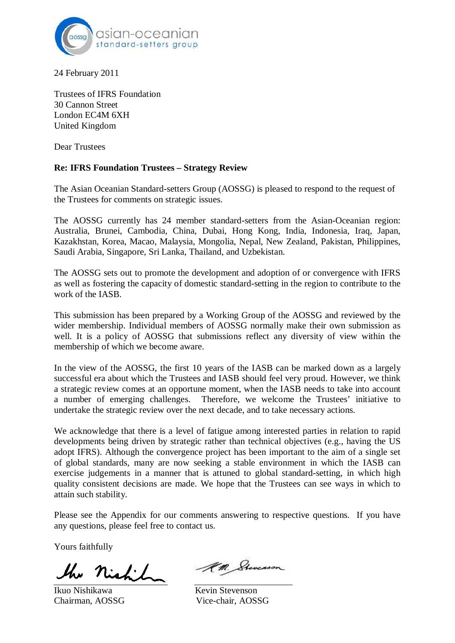

24 February 2011

Trustees of IFRS Foundation 30 Cannon Street London EC4M 6XH United Kingdom

Dear Trustees

## **Re: IFRS Foundation Trustees – Strategy Review**

The Asian Oceanian Standard-setters Group (AOSSG) is pleased to respond to the request of the Trustees for comments on strategic issues.

The AOSSG currently has 24 member standard-setters from the Asian-Oceanian region: Australia, Brunei, Cambodia, China, Dubai, Hong Kong, India, Indonesia, Iraq, Japan, Kazakhstan, Korea, Macao, Malaysia, Mongolia, Nepal, New Zealand, Pakistan, Philippines, Saudi Arabia, Singapore, Sri Lanka, Thailand, and Uzbekistan.

The AOSSG sets out to promote the development and adoption of or convergence with IFRS as well as fostering the capacity of domestic standard-setting in the region to contribute to the work of the IASB.

This submission has been prepared by a Working Group of the AOSSG and reviewed by the wider membership. Individual members of AOSSG normally make their own submission as well. It is a policy of AOSSG that submissions reflect any diversity of view within the membership of which we become aware.

In the view of the AOSSG, the first 10 years of the IASB can be marked down as a largely successful era about which the Trustees and IASB should feel very proud. However, we think a strategic review comes at an opportune moment, when the IASB needs to take into account a number of emerging challenges. Therefore, we welcome the Trustees' initiative to undertake the strategic review over the next decade, and to take necessary actions.

We acknowledge that there is a level of fatigue among interested parties in relation to rapid developments being driven by strategic rather than technical objectives (e.g., having the US adopt IFRS). Although the convergence project has been important to the aim of a single set of global standards, many are now seeking a stable environment in which the IASB can exercise judgements in a manner that is attuned to global standard-setting, in which high quality consistent decisions are made. We hope that the Trustees can see ways in which to attain such stability.

Please see the Appendix for our comments answering to respective questions. If you have any questions, please feel free to contact us.

Yours faithfully

the nicht

Ikuo Nishikawa Kevin Stevenson Chairman, AOSSG Vice-chair, AOSSG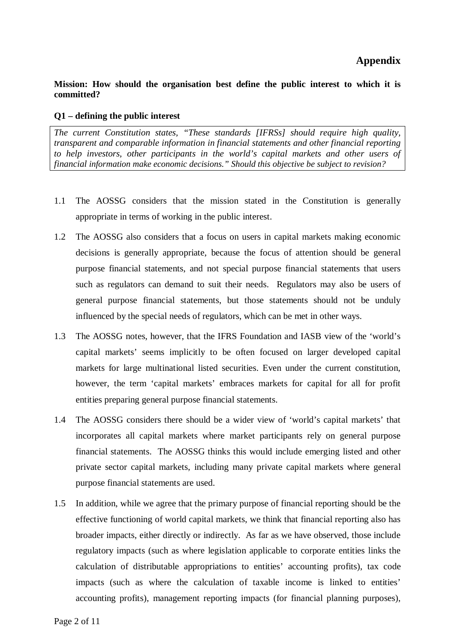# **Appendix**

## **Mission: How should the organisation best define the public interest to which it is committed?**

#### **Q1 – defining the public interest**

*The current Constitution states, "These standards [IFRSs] should require high quality, transparent and comparable information in financial statements and other financial reporting to help investors, other participants in the world's capital markets and other users of financial information make economic decisions." Should this objective be subject to revision?*

- 1.1 The AOSSG considers that the mission stated in the Constitution is generally appropriate in terms of working in the public interest.
- 1.2 The AOSSG also considers that a focus on users in capital markets making economic decisions is generally appropriate, because the focus of attention should be general purpose financial statements, and not special purpose financial statements that users such as regulators can demand to suit their needs. Regulators may also be users of general purpose financial statements, but those statements should not be unduly influenced by the special needs of regulators, which can be met in other ways.
- 1.3 The AOSSG notes, however, that the IFRS Foundation and IASB view of the 'world's capital markets' seems implicitly to be often focused on larger developed capital markets for large multinational listed securities. Even under the current constitution, however, the term 'capital markets' embraces markets for capital for all for profit entities preparing general purpose financial statements.
- 1.4 The AOSSG considers there should be a wider view of 'world's capital markets' that incorporates all capital markets where market participants rely on general purpose financial statements. The AOSSG thinks this would include emerging listed and other private sector capital markets, including many private capital markets where general purpose financial statements are used.
- 1.5 In addition, while we agree that the primary purpose of financial reporting should be the effective functioning of world capital markets, we think that financial reporting also has broader impacts, either directly or indirectly. As far as we have observed, those include regulatory impacts (such as where legislation applicable to corporate entities links the calculation of distributable appropriations to entities' accounting profits), tax code impacts (such as where the calculation of taxable income is linked to entities' accounting profits), management reporting impacts (for financial planning purposes),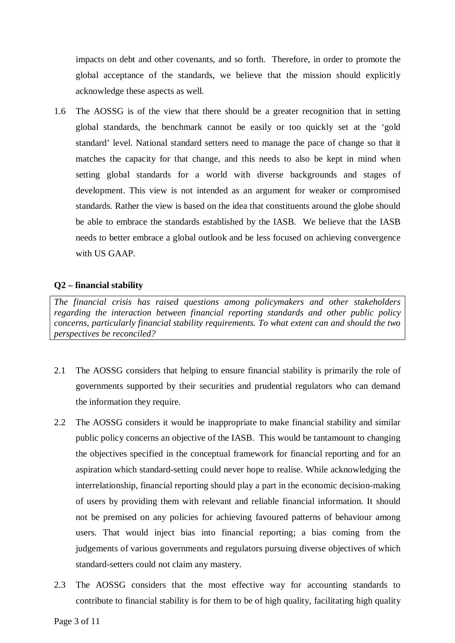impacts on debt and other covenants, and so forth. Therefore, in order to promote the global acceptance of the standards, we believe that the mission should explicitly acknowledge these aspects as well.

1.6 The AOSSG is of the view that there should be a greater recognition that in setting global standards, the benchmark cannot be easily or too quickly set at the 'gold standard' level. National standard setters need to manage the pace of change so that it matches the capacity for that change, and this needs to also be kept in mind when setting global standards for a world with diverse backgrounds and stages of development. This view is not intended as an argument for weaker or compromised standards. Rather the view is based on the idea that constituents around the globe should be able to embrace the standards established by the IASB. We believe that the IASB needs to better embrace a global outlook and be less focused on achieving convergence with US GAAP.

# **Q2 – financial stability**

*The financial crisis has raised questions among policymakers and other stakeholders regarding the interaction between financial reporting standards and other public policy concerns, particularly financial stability requirements. To what extent can and should the two perspectives be reconciled?*

- 2.1 The AOSSG considers that helping to ensure financial stability is primarily the role of governments supported by their securities and prudential regulators who can demand the information they require.
- 2.2 The AOSSG considers it would be inappropriate to make financial stability and similar public policy concerns an objective of the IASB. This would be tantamount to changing the objectives specified in the conceptual framework for financial reporting and for an aspiration which standard-setting could never hope to realise. While acknowledging the interrelationship, financial reporting should play a part in the economic decision-making of users by providing them with relevant and reliable financial information. It should not be premised on any policies for achieving favoured patterns of behaviour among users. That would inject bias into financial reporting; a bias coming from the judgements of various governments and regulators pursuing diverse objectives of which standard-setters could not claim any mastery.
- 2.3 The AOSSG considers that the most effective way for accounting standards to contribute to financial stability is for them to be of high quality, facilitating high quality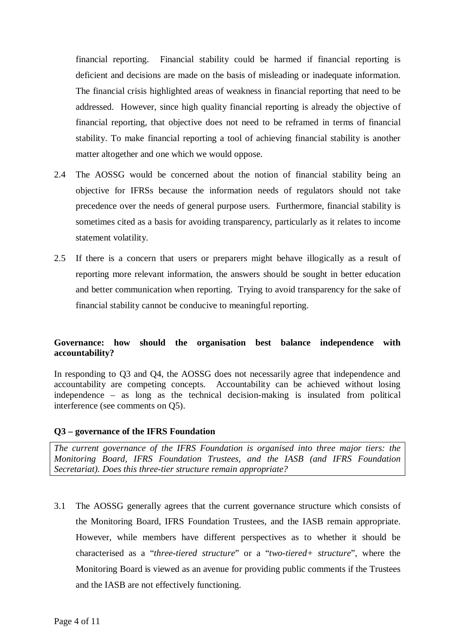financial reporting. Financial stability could be harmed if financial reporting is deficient and decisions are made on the basis of misleading or inadequate information. The financial crisis highlighted areas of weakness in financial reporting that need to be addressed. However, since high quality financial reporting is already the objective of financial reporting, that objective does not need to be reframed in terms of financial stability. To make financial reporting a tool of achieving financial stability is another matter altogether and one which we would oppose.

- 2.4 The AOSSG would be concerned about the notion of financial stability being an objective for IFRSs because the information needs of regulators should not take precedence over the needs of general purpose users. Furthermore, financial stability is sometimes cited as a basis for avoiding transparency, particularly as it relates to income statement volatility.
- 2.5 If there is a concern that users or preparers might behave illogically as a result of reporting more relevant information, the answers should be sought in better education and better communication when reporting. Trying to avoid transparency for the sake of financial stability cannot be conducive to meaningful reporting.

# **Governance: how should the organisation best balance independence with accountability?**

In responding to O3 and O4, the AOSSG does not necessarily agree that independence and accountability are competing concepts. Accountability can be achieved without losing independence – as long as the technical decision-making is insulated from political interference (see comments on Q5).

# **Q3 – governance of the IFRS Foundation**

*The current governance of the IFRS Foundation is organised into three major tiers: the Monitoring Board, IFRS Foundation Trustees, and the IASB (and IFRS Foundation Secretariat). Does this three-tier structure remain appropriate?*

3.1 The AOSSG generally agrees that the current governance structure which consists of the Monitoring Board, IFRS Foundation Trustees, and the IASB remain appropriate. However, while members have different perspectives as to whether it should be characterised as a "*three-tiered structure*" or a "*two-tiered+ structure*", where the Monitoring Board is viewed as an avenue for providing public comments if the Trustees and the IASB are not effectively functioning.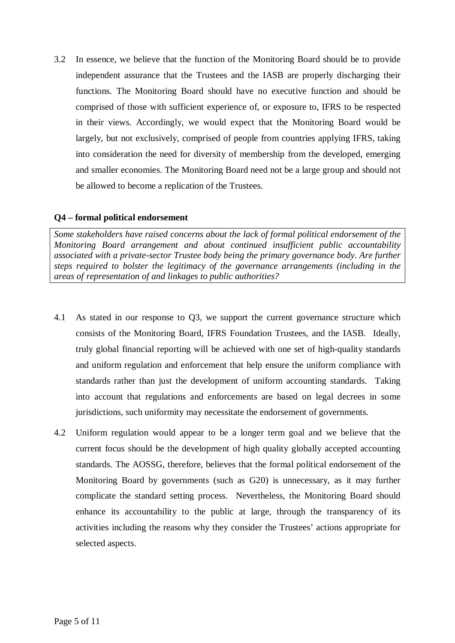3.2 In essence, we believe that the function of the Monitoring Board should be to provide independent assurance that the Trustees and the IASB are properly discharging their functions. The Monitoring Board should have no executive function and should be comprised of those with sufficient experience of, or exposure to, IFRS to be respected in their views. Accordingly, we would expect that the Monitoring Board would be largely, but not exclusively, comprised of people from countries applying IFRS, taking into consideration the need for diversity of membership from the developed, emerging and smaller economies. The Monitoring Board need not be a large group and should not be allowed to become a replication of the Trustees.

# **Q4 – formal political endorsement**

*Some stakeholders have raised concerns about the lack of formal political endorsement of the Monitoring Board arrangement and about continued insufficient public accountability associated with a private-sector Trustee body being the primary governance body. Are further steps required to bolster the legitimacy of the governance arrangements (including in the areas of representation of and linkages to public authorities?*

- 4.1 As stated in our response to Q3, we support the current governance structure which consists of the Monitoring Board, IFRS Foundation Trustees, and the IASB. Ideally, truly global financial reporting will be achieved with one set of high-quality standards and uniform regulation and enforcement that help ensure the uniform compliance with standards rather than just the development of uniform accounting standards. Taking into account that regulations and enforcements are based on legal decrees in some jurisdictions, such uniformity may necessitate the endorsement of governments.
- 4.2 Uniform regulation would appear to be a longer term goal and we believe that the current focus should be the development of high quality globally accepted accounting standards. The AOSSG, therefore, believes that the formal political endorsement of the Monitoring Board by governments (such as G20) is unnecessary, as it may further complicate the standard setting process. Nevertheless, the Monitoring Board should enhance its accountability to the public at large, through the transparency of its activities including the reasons why they consider the Trustees' actions appropriate for selected aspects.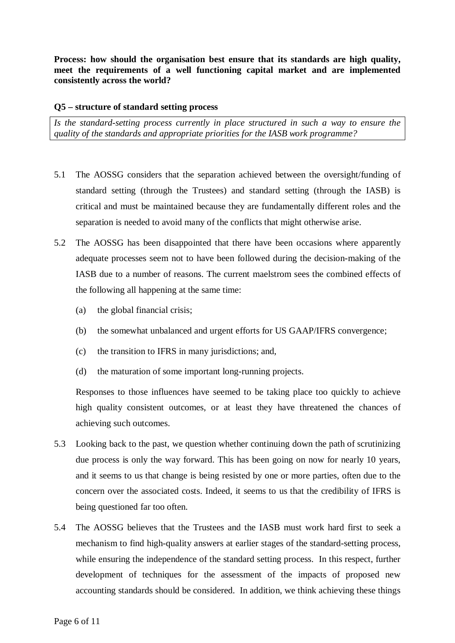**Process: how should the organisation best ensure that its standards are high quality, meet the requirements of a well functioning capital market and are implemented consistently across the world?**

#### **Q5 – structure of standard setting process**

*Is the standard-setting process currently in place structured in such a way to ensure the quality of the standards and appropriate priorities for the IASB work programme?*

- 5.1 The AOSSG considers that the separation achieved between the oversight/funding of standard setting (through the Trustees) and standard setting (through the IASB) is critical and must be maintained because they are fundamentally different roles and the separation is needed to avoid many of the conflicts that might otherwise arise.
- 5.2 The AOSSG has been disappointed that there have been occasions where apparently adequate processes seem not to have been followed during the decision-making of the IASB due to a number of reasons. The current maelstrom sees the combined effects of the following all happening at the same time:
	- (a) the global financial crisis;
	- (b) the somewhat unbalanced and urgent efforts for US GAAP/IFRS convergence;
	- (c) the transition to IFRS in many jurisdictions; and,
	- (d) the maturation of some important long-running projects.

Responses to those influences have seemed to be taking place too quickly to achieve high quality consistent outcomes, or at least they have threatened the chances of achieving such outcomes.

- 5.3 Looking back to the past, we question whether continuing down the path of scrutinizing due process is only the way forward. This has been going on now for nearly 10 years, and it seems to us that change is being resisted by one or more parties, often due to the concern over the associated costs. Indeed, it seems to us that the credibility of IFRS is being questioned far too often.
- 5.4 The AOSSG believes that the Trustees and the IASB must work hard first to seek a mechanism to find high-quality answers at earlier stages of the standard-setting process, while ensuring the independence of the standard setting process. In this respect, further development of techniques for the assessment of the impacts of proposed new accounting standards should be considered. In addition, we think achieving these things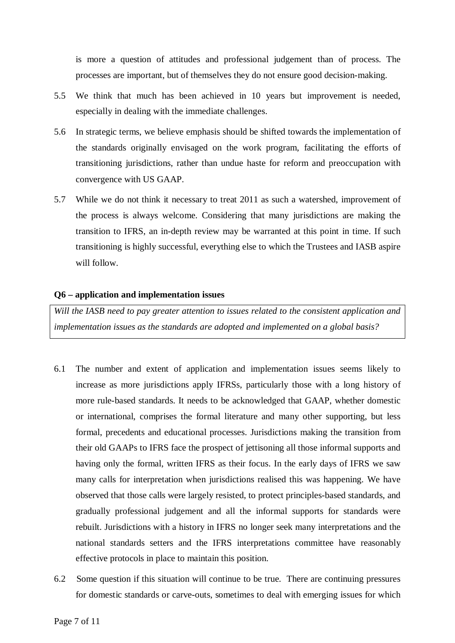is more a question of attitudes and professional judgement than of process. The processes are important, but of themselves they do not ensure good decision-making.

- 5.5 We think that much has been achieved in 10 years but improvement is needed, especially in dealing with the immediate challenges.
- 5.6 In strategic terms, we believe emphasis should be shifted towards the implementation of the standards originally envisaged on the work program, facilitating the efforts of transitioning jurisdictions, rather than undue haste for reform and preoccupation with convergence with US GAAP.
- 5.7 While we do not think it necessary to treat 2011 as such a watershed, improvement of the process is always welcome. Considering that many jurisdictions are making the transition to IFRS, an in-depth review may be warranted at this point in time. If such transitioning is highly successful, everything else to which the Trustees and IASB aspire will follow.

#### **Q6 – application and implementation issues**

*Will the IASB need to pay greater attention to issues related to the consistent application and implementation issues as the standards are adopted and implemented on a global basis?*

- 6.1 The number and extent of application and implementation issues seems likely to increase as more jurisdictions apply IFRSs, particularly those with a long history of more rule-based standards. It needs to be acknowledged that GAAP, whether domestic or international, comprises the formal literature and many other supporting, but less formal, precedents and educational processes. Jurisdictions making the transition from their old GAAPs to IFRS face the prospect of jettisoning all those informal supports and having only the formal, written IFRS as their focus. In the early days of IFRS we saw many calls for interpretation when jurisdictions realised this was happening. We have observed that those calls were largely resisted, to protect principles-based standards, and gradually professional judgement and all the informal supports for standards were rebuilt. Jurisdictions with a history in IFRS no longer seek many interpretations and the national standards setters and the IFRS interpretations committee have reasonably effective protocols in place to maintain this position.
- 6.2 Some question if this situation will continue to be true. There are continuing pressures for domestic standards or carve-outs, sometimes to deal with emerging issues for which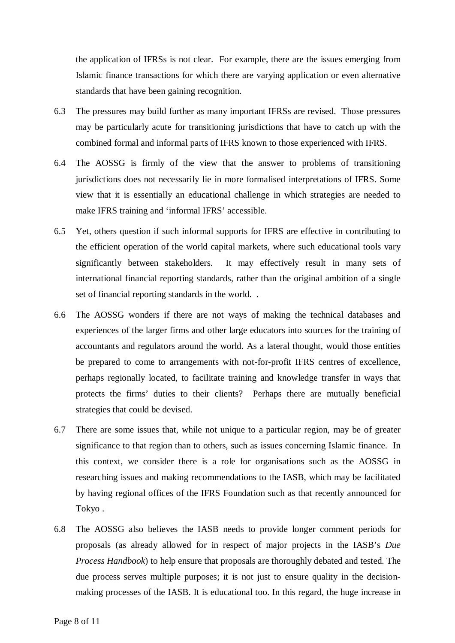the application of IFRSs is not clear. For example, there are the issues emerging from Islamic finance transactions for which there are varying application or even alternative standards that have been gaining recognition.

- 6.3 The pressures may build further as many important IFRSs are revised. Those pressures may be particularly acute for transitioning jurisdictions that have to catch up with the combined formal and informal parts of IFRS known to those experienced with IFRS.
- 6.4 The AOSSG is firmly of the view that the answer to problems of transitioning jurisdictions does not necessarily lie in more formalised interpretations of IFRS. Some view that it is essentially an educational challenge in which strategies are needed to make IFRS training and 'informal IFRS' accessible.
- 6.5 Yet, others question if such informal supports for IFRS are effective in contributing to the efficient operation of the world capital markets, where such educational tools vary significantly between stakeholders. It may effectively result in many sets of international financial reporting standards, rather than the original ambition of a single set of financial reporting standards in the world. .
- 6.6 The AOSSG wonders if there are not ways of making the technical databases and experiences of the larger firms and other large educators into sources for the training of accountants and regulators around the world. As a lateral thought, would those entities be prepared to come to arrangements with not-for-profit IFRS centres of excellence, perhaps regionally located, to facilitate training and knowledge transfer in ways that protects the firms' duties to their clients? Perhaps there are mutually beneficial strategies that could be devised.
- 6.7 There are some issues that, while not unique to a particular region, may be of greater significance to that region than to others, such as issues concerning Islamic finance. In this context, we consider there is a role for organisations such as the AOSSG in researching issues and making recommendations to the IASB, which may be facilitated by having regional offices of the IFRS Foundation such as that recently announced for Tokyo .
- 6.8 The AOSSG also believes the IASB needs to provide longer comment periods for proposals (as already allowed for in respect of major projects in the IASB's *Due Process Handbook*) to help ensure that proposals are thoroughly debated and tested. The due process serves multiple purposes; it is not just to ensure quality in the decisionmaking processes of the IASB. It is educational too. In this regard, the huge increase in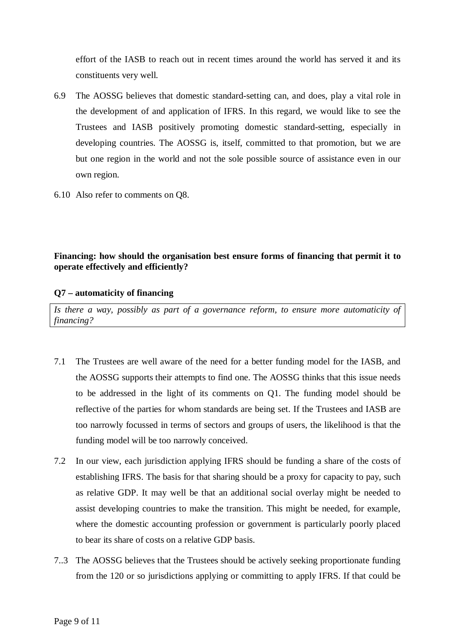effort of the IASB to reach out in recent times around the world has served it and its constituents very well.

- 6.9 The AOSSG believes that domestic standard-setting can, and does, play a vital role in the development of and application of IFRS. In this regard, we would like to see the Trustees and IASB positively promoting domestic standard-setting, especially in developing countries. The AOSSG is, itself, committed to that promotion, but we are but one region in the world and not the sole possible source of assistance even in our own region.
- 6.10 Also refer to comments on Q8.

# **Financing: how should the organisation best ensure forms of financing that permit it to operate effectively and efficiently?**

## **Q7 – automaticity of financing**

*Is there a way, possibly as part of a governance reform, to ensure more automaticity of financing?*

- 7.1 The Trustees are well aware of the need for a better funding model for the IASB, and the AOSSG supports their attempts to find one. The AOSSG thinks that this issue needs to be addressed in the light of its comments on Q1. The funding model should be reflective of the parties for whom standards are being set. If the Trustees and IASB are too narrowly focussed in terms of sectors and groups of users, the likelihood is that the funding model will be too narrowly conceived.
- 7.2 In our view, each jurisdiction applying IFRS should be funding a share of the costs of establishing IFRS. The basis for that sharing should be a proxy for capacity to pay, such as relative GDP. It may well be that an additional social overlay might be needed to assist developing countries to make the transition. This might be needed, for example, where the domestic accounting profession or government is particularly poorly placed to bear its share of costs on a relative GDP basis.
- 7..3 The AOSSG believes that the Trustees should be actively seeking proportionate funding from the 120 or so jurisdictions applying or committing to apply IFRS. If that could be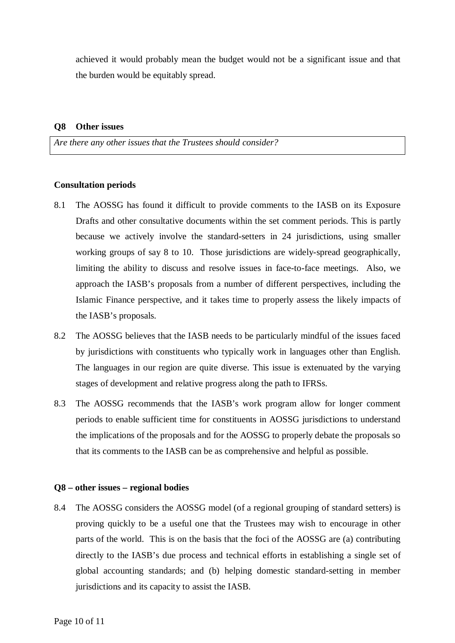achieved it would probably mean the budget would not be a significant issue and that the burden would be equitably spread.

#### **Q8 Other issues**

*Are there any other issues that the Trustees should consider?*

#### **Consultation periods**

- 8.1 The AOSSG has found it difficult to provide comments to the IASB on its Exposure Drafts and other consultative documents within the set comment periods. This is partly because we actively involve the standard-setters in 24 jurisdictions, using smaller working groups of say 8 to 10. Those jurisdictions are widely-spread geographically, limiting the ability to discuss and resolve issues in face-to-face meetings. Also, we approach the IASB's proposals from a number of different perspectives, including the Islamic Finance perspective, and it takes time to properly assess the likely impacts of the IASB's proposals.
- 8.2 The AOSSG believes that the IASB needs to be particularly mindful of the issues faced by jurisdictions with constituents who typically work in languages other than English. The languages in our region are quite diverse. This issue is extenuated by the varying stages of development and relative progress along the path to IFRSs.
- 8.3 The AOSSG recommends that the IASB's work program allow for longer comment periods to enable sufficient time for constituents in AOSSG jurisdictions to understand the implications of the proposals and for the AOSSG to properly debate the proposals so that its comments to the IASB can be as comprehensive and helpful as possible.

#### **Q8 – other issues – regional bodies**

8.4 The AOSSG considers the AOSSG model (of a regional grouping of standard setters) is proving quickly to be a useful one that the Trustees may wish to encourage in other parts of the world. This is on the basis that the foci of the AOSSG are (a) contributing directly to the IASB's due process and technical efforts in establishing a single set of global accounting standards; and (b) helping domestic standard-setting in member jurisdictions and its capacity to assist the IASB.